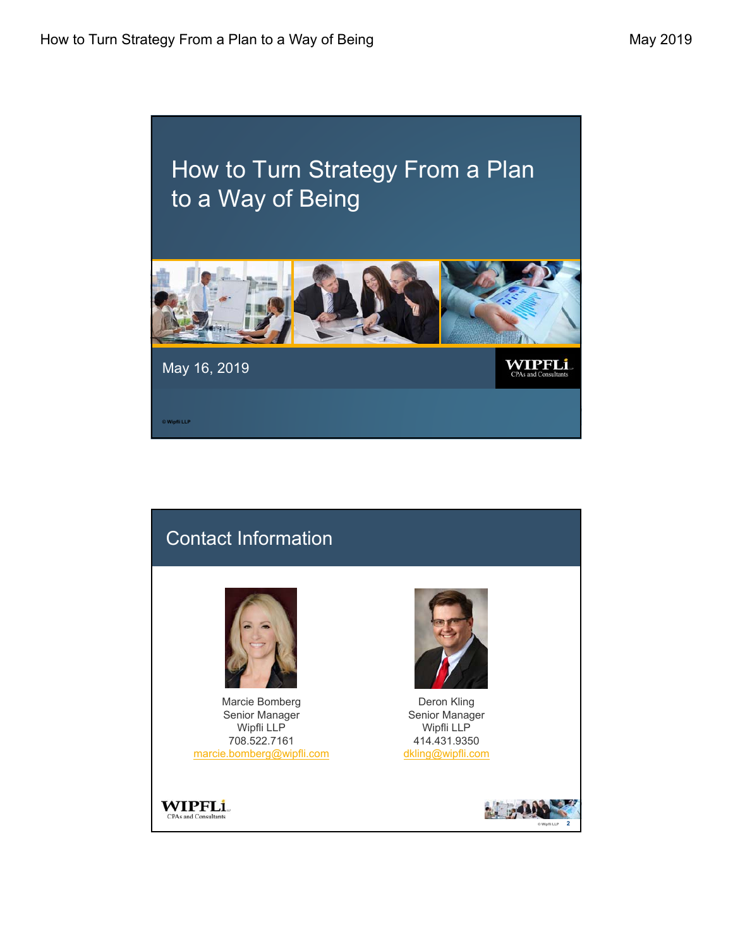## How to Turn Strategy From a Plan to a Way of Being



May 16, 2019

**© Wipfli LLP**

WIPFLi

## Contact Information Marcie Bomberg Deron Kling Senior Manager Senior Manager Wipfli LLP Wipfli LLP 708.522.7161 414.431.9350 marcie.bomberg@wipfli.com dkling@wipfli.com**WIPFLi CPAs and Consultants © Wipfli LLP 2**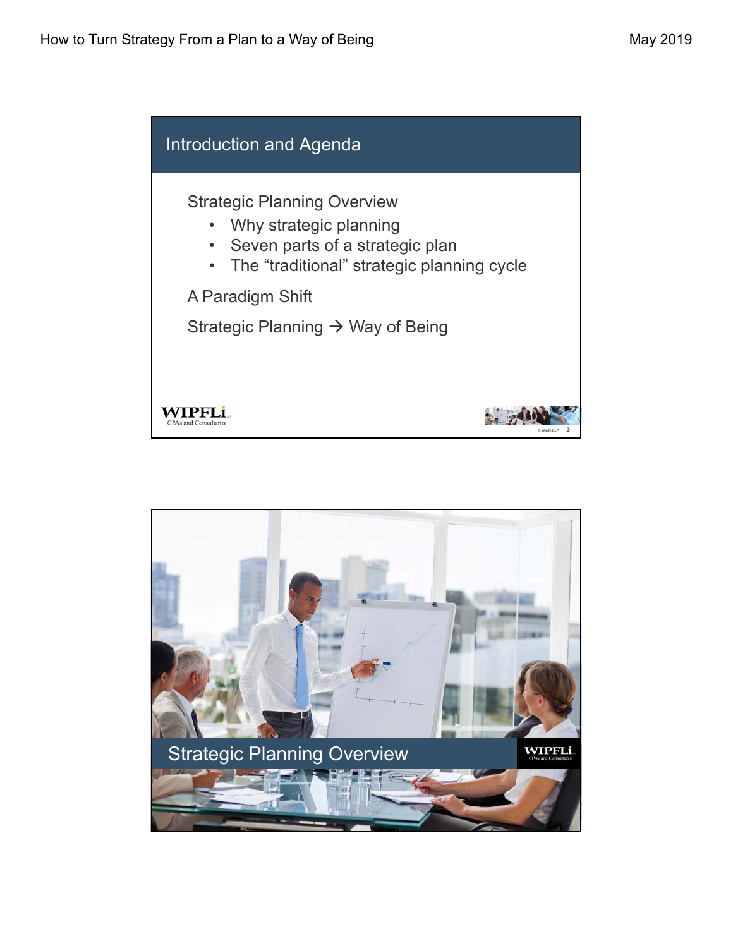

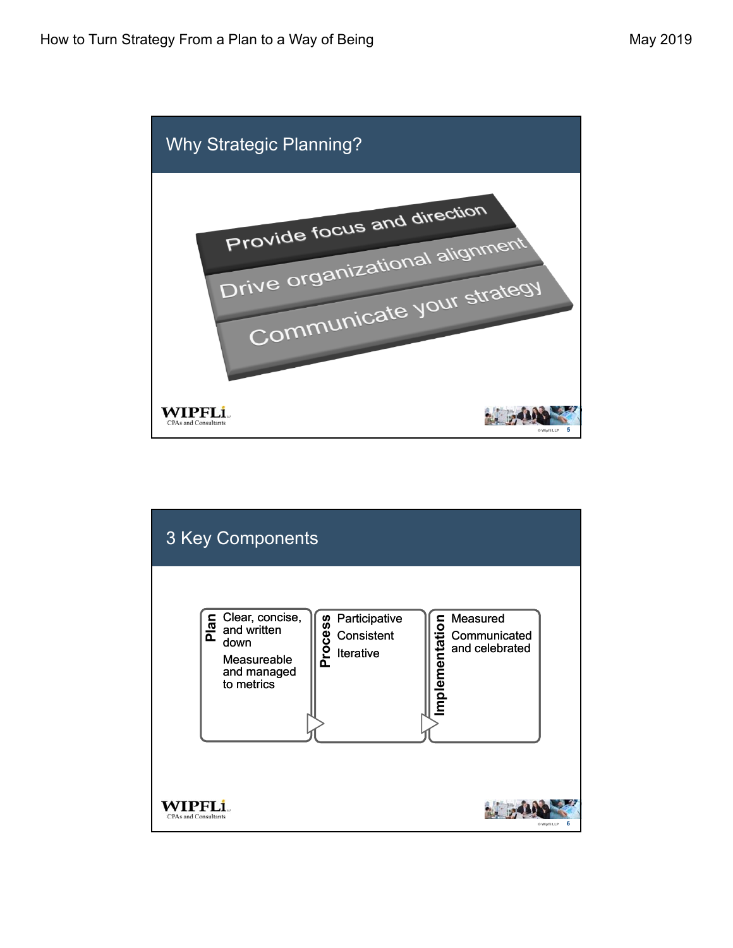

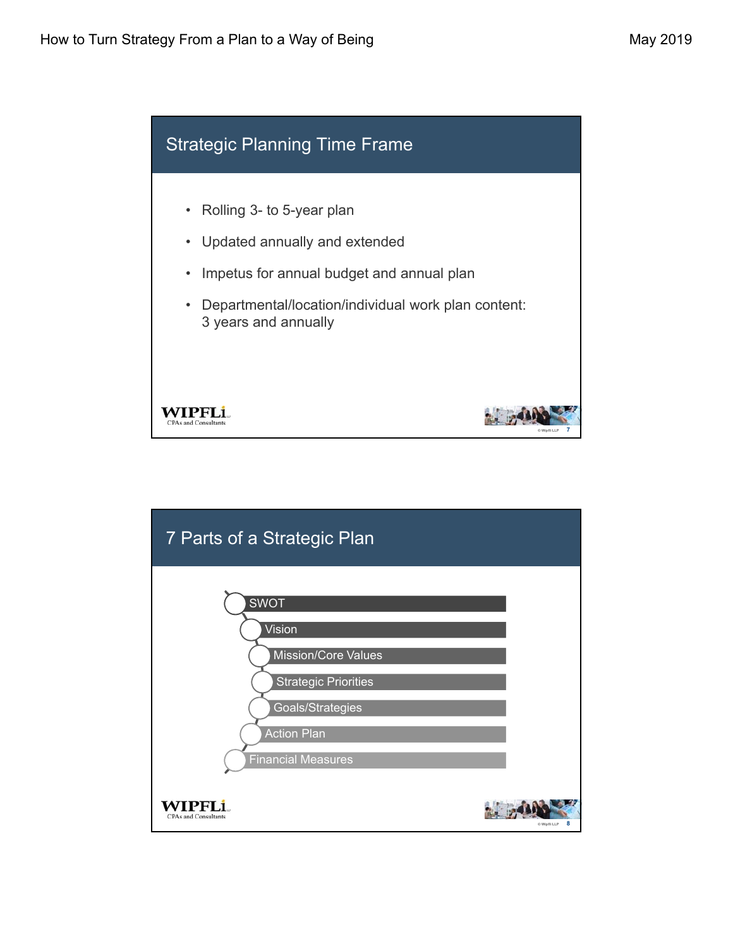

| 7 Parts of a Strategic Plan                     |                   |
|-------------------------------------------------|-------------------|
| <b>SWOT</b>                                     |                   |
| Vision<br><b>Mission/Core Values</b>            |                   |
| <b>Strategic Priorities</b><br>Goals/Strategies |                   |
| <b>Action Plan</b><br><b>Financial Measures</b> |                   |
| <b>CPAs and Consultants</b>                     | 8<br>© Wipfli LLP |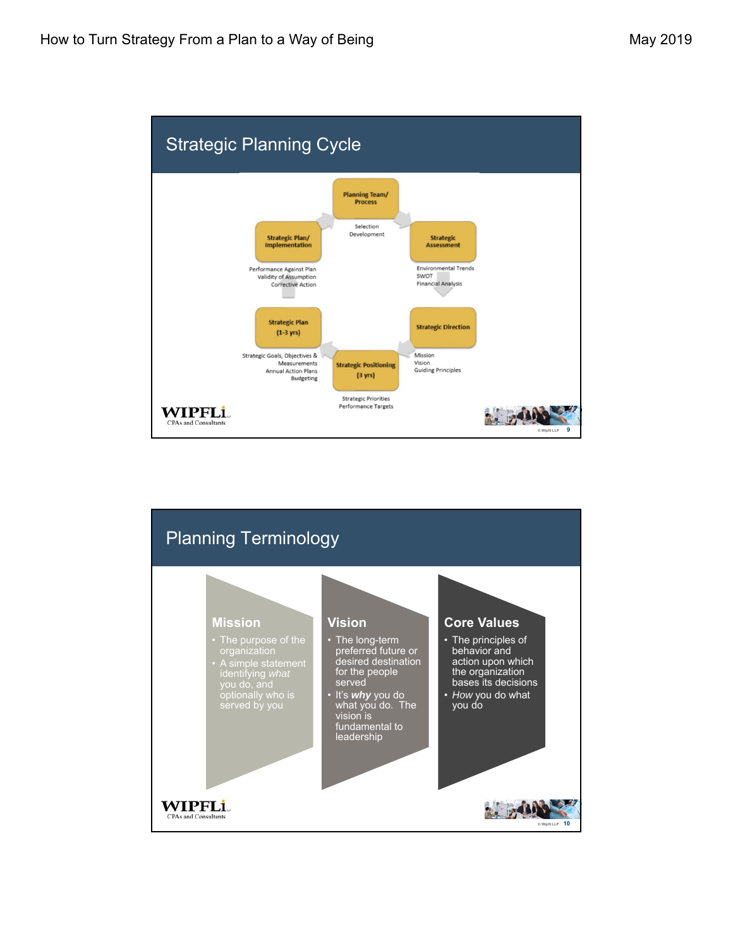

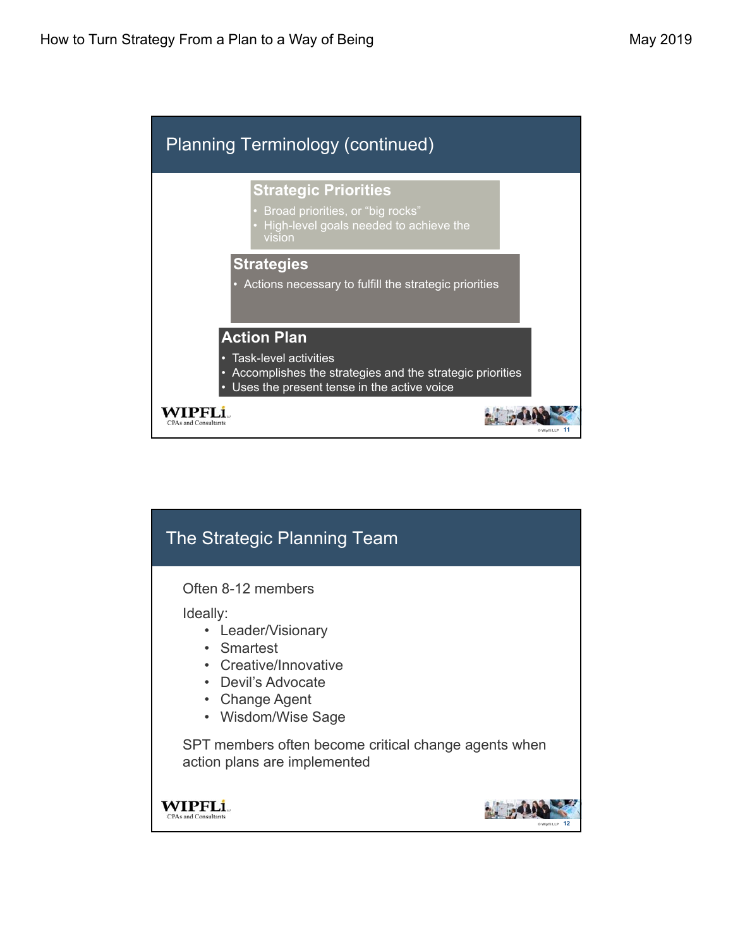

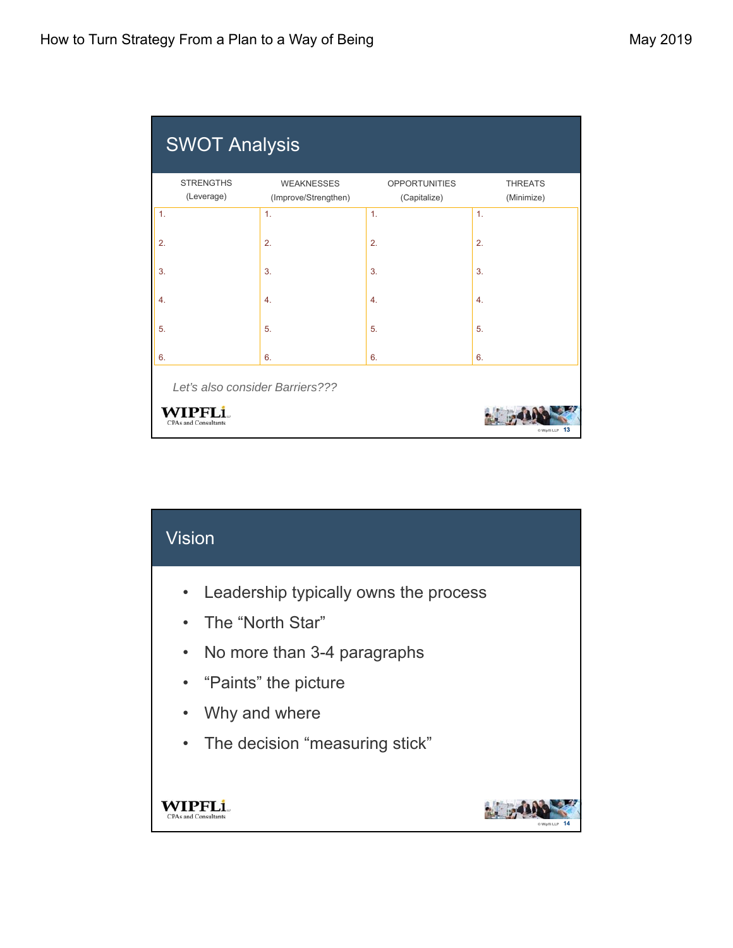| <b>STRENGTHS</b><br>(Leverage) | <b>WEAKNESSES</b><br>(Improve/Strengthen) | <b>OPPORTUNITIES</b><br>(Capitalize) | <b>THREATS</b><br>(Minimize) |
|--------------------------------|-------------------------------------------|--------------------------------------|------------------------------|
| 1.                             | $\mathbf{1}$ .                            | 1.                                   | 1.                           |
| 2.                             | 2.                                        | 2.                                   | 2.                           |
| 3.                             | 3.                                        | 3.                                   | 3.                           |
| 4.                             | $\overline{4}$ .                          | $\overline{4}$ .                     | 4.                           |
| 5.                             | 5.                                        | 5.                                   | 5.                           |
| 6.                             | 6.                                        | 6.                                   | 6.                           |
|                                | Let's also consider Barriers???           |                                      |                              |

| $V$ ision                                                                                                                                                                                             |                |
|-------------------------------------------------------------------------------------------------------------------------------------------------------------------------------------------------------|----------------|
| • Leadership typically owns the process<br>• The "North Star"<br>No more than 3-4 paragraphs<br>$\bullet$<br>• "Paints" the picture<br>Why and where<br>$\bullet$<br>• The decision "measuring stick" |                |
| ad Consultants                                                                                                                                                                                        | @ Winfli I I P |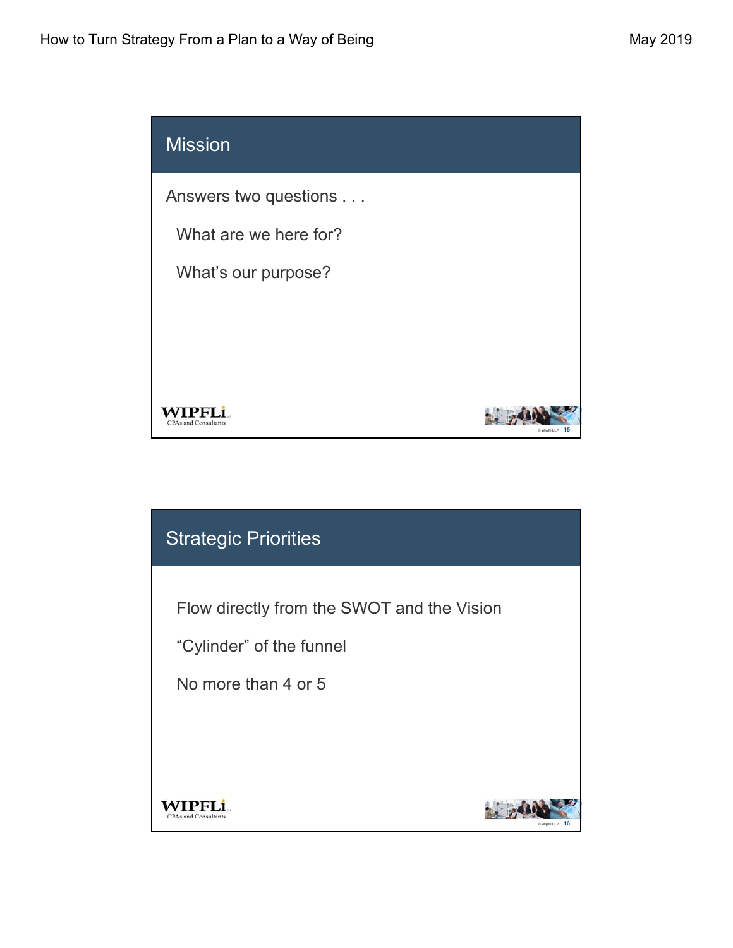

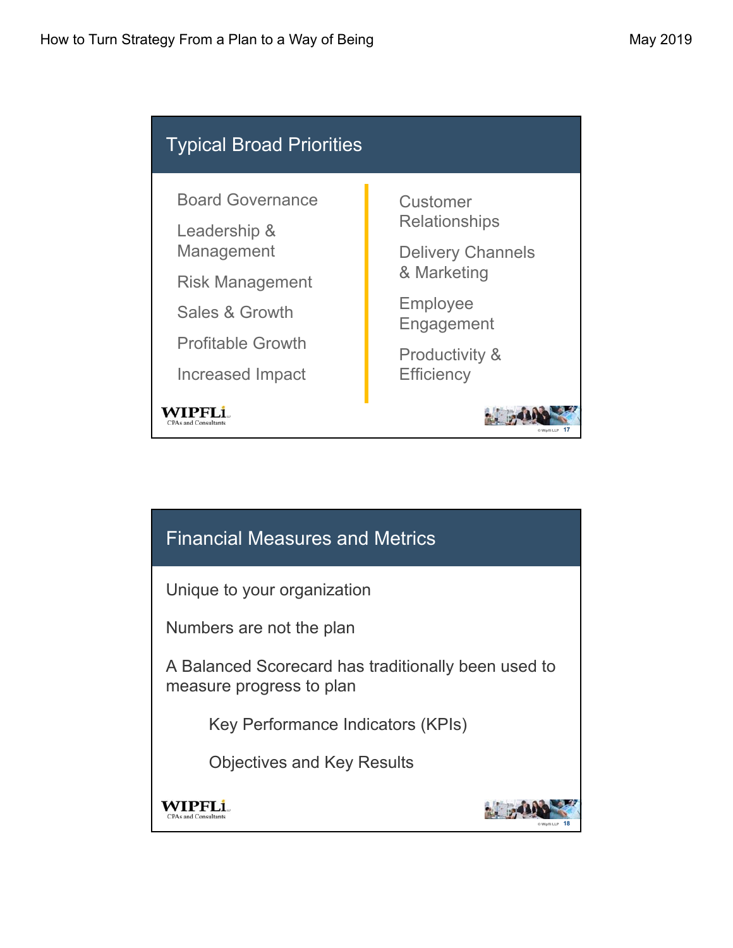

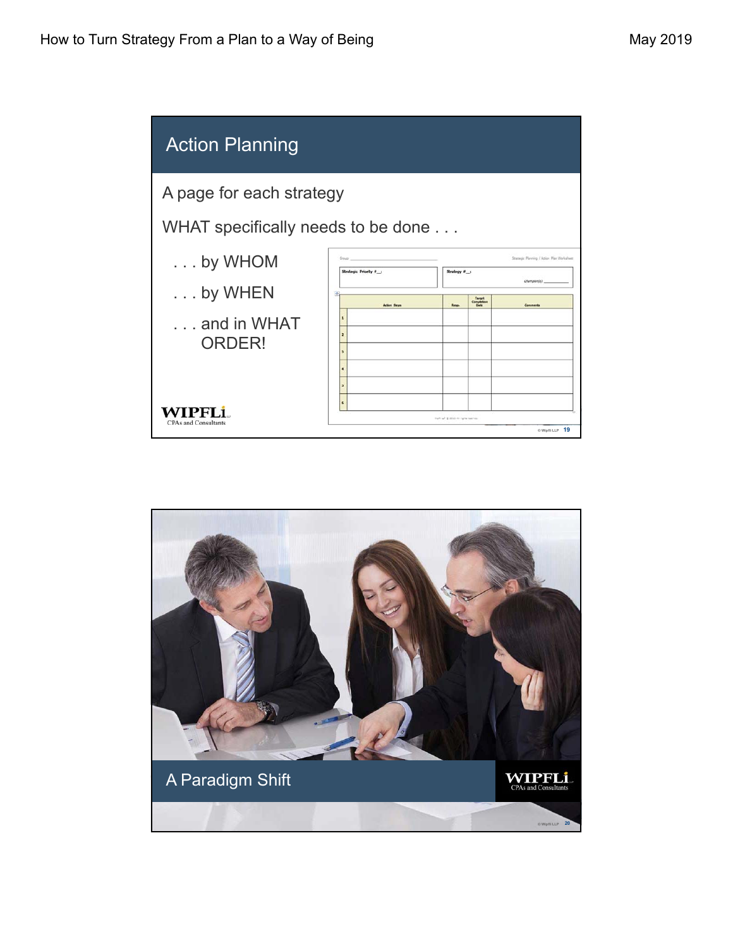

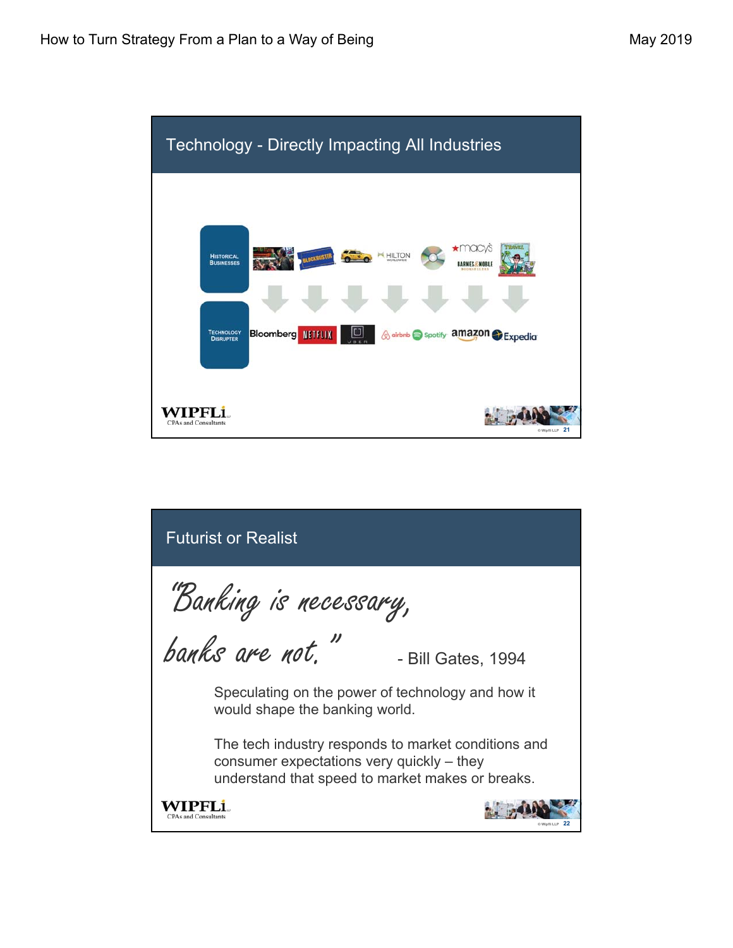

| <b>Futurist or Realist</b>                                                                                                                             |
|--------------------------------------------------------------------------------------------------------------------------------------------------------|
| "Banking is necessary,                                                                                                                                 |
| banks are not."<br>- Bill Gates, 1994                                                                                                                  |
| Speculating on the power of technology and how it<br>would shape the banking world.                                                                    |
| The tech industry responds to market conditions and<br>consumer expectations very quickly $-$ they<br>understand that speed to market makes or breaks. |
| and Consultants                                                                                                                                        |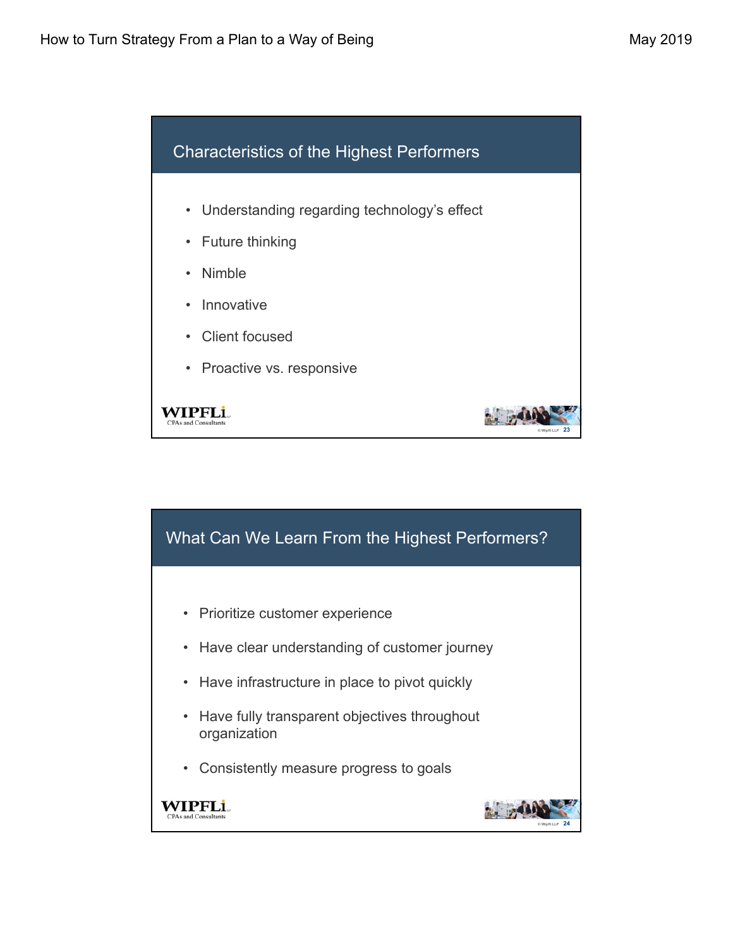

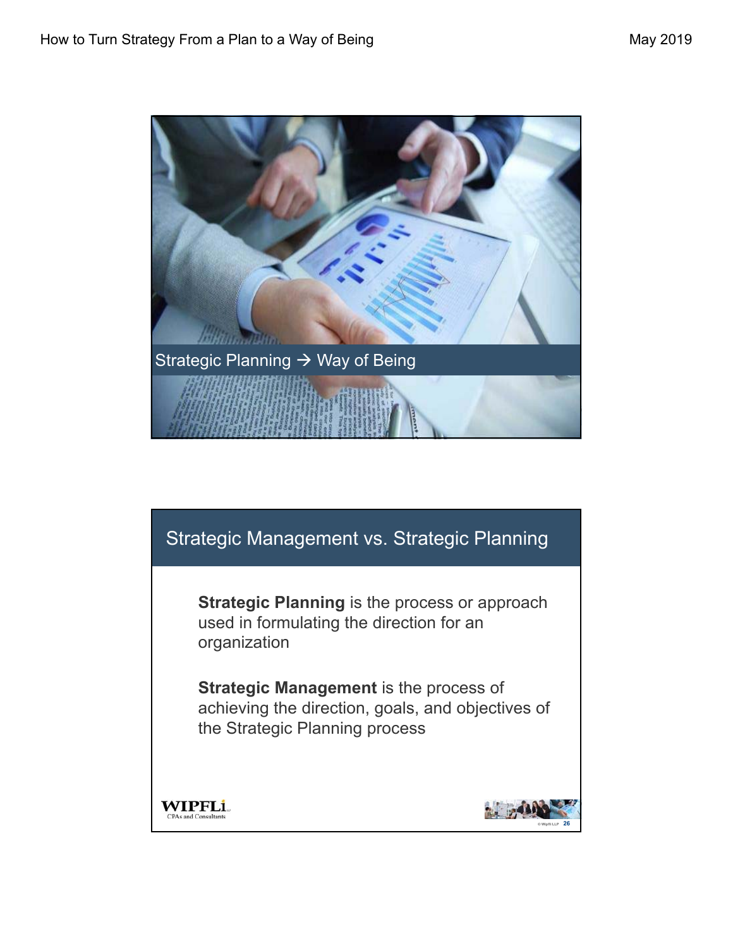

## Strategic Management vs. Strategic Planning

**Strategic Planning** is the process or approach used in formulating the direction for an organization

**Strategic Management** is the process of achieving the direction, goals, and objectives of the Strategic Planning process



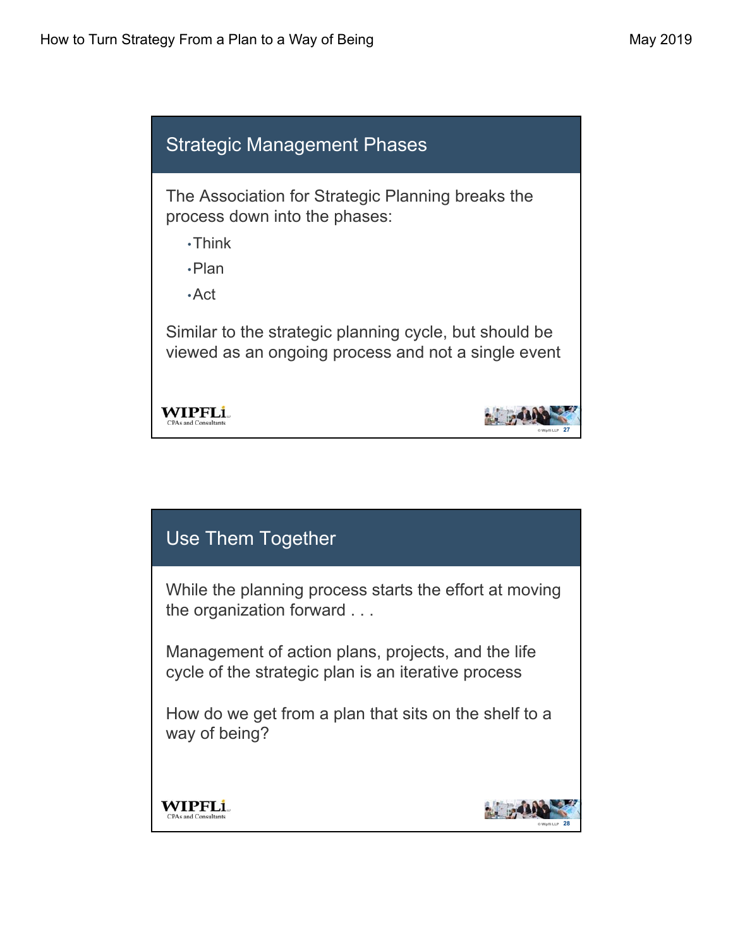

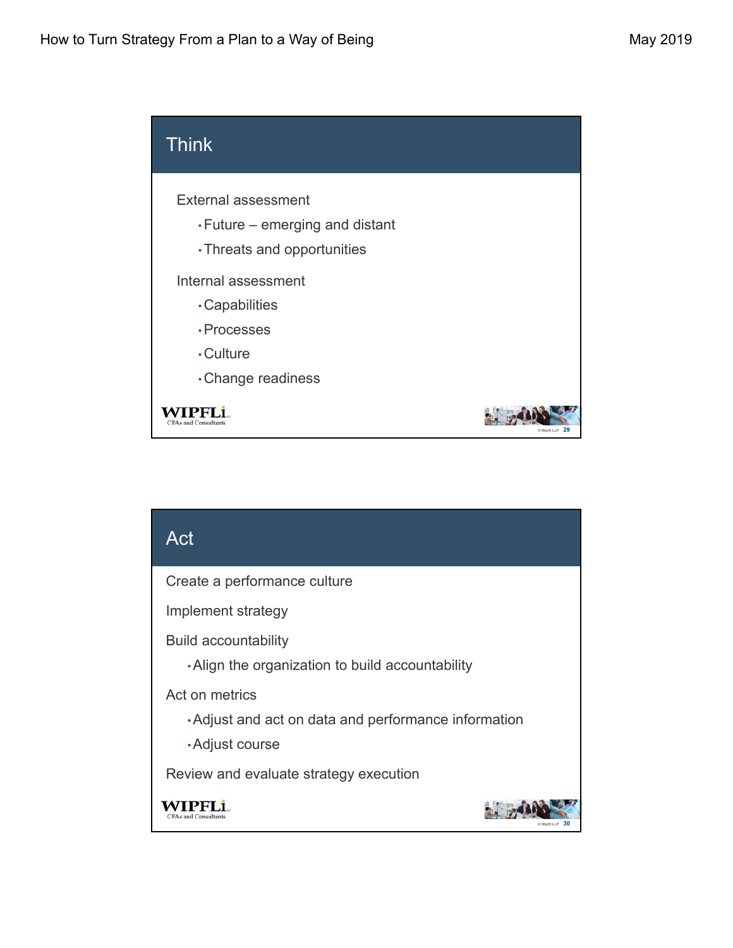

## Act Create a performance culture Implement strategy Build accountability •Align the organization to build accountability Act on metrics •Adjust and act on data and performance information •Adjust course Review and evaluate strategy execution WIPFLi **CPAs and Consulta © Wipfli LLP 30**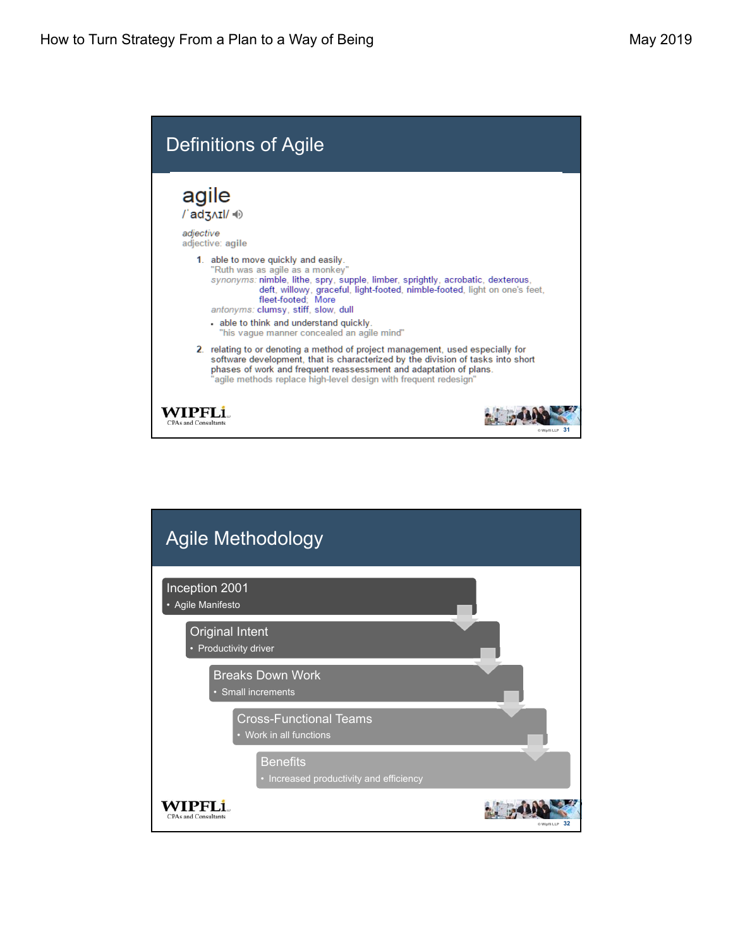

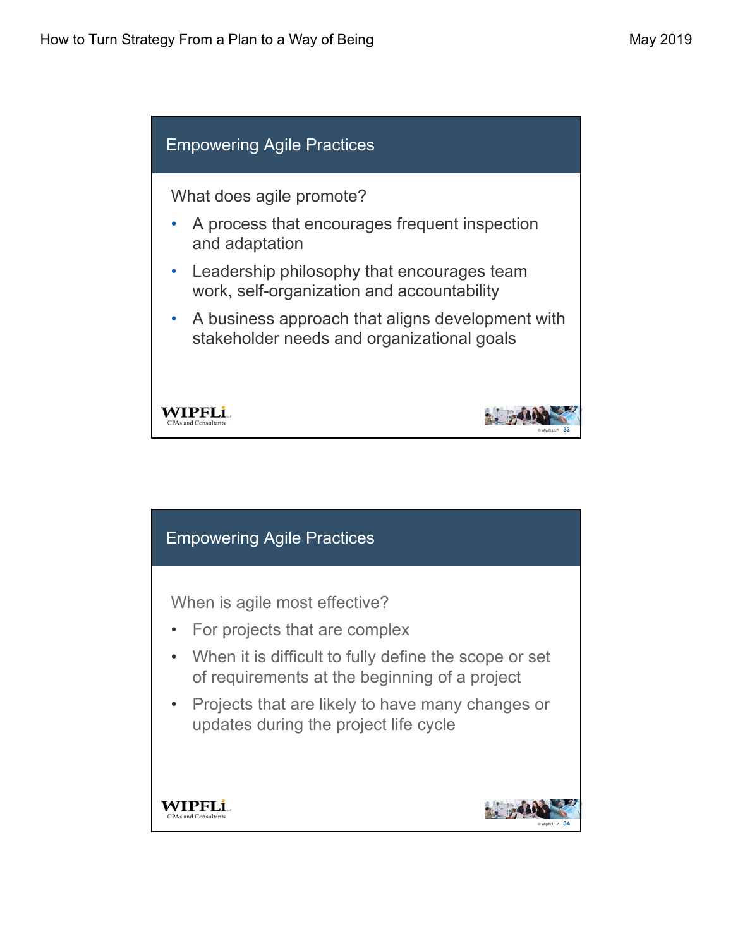

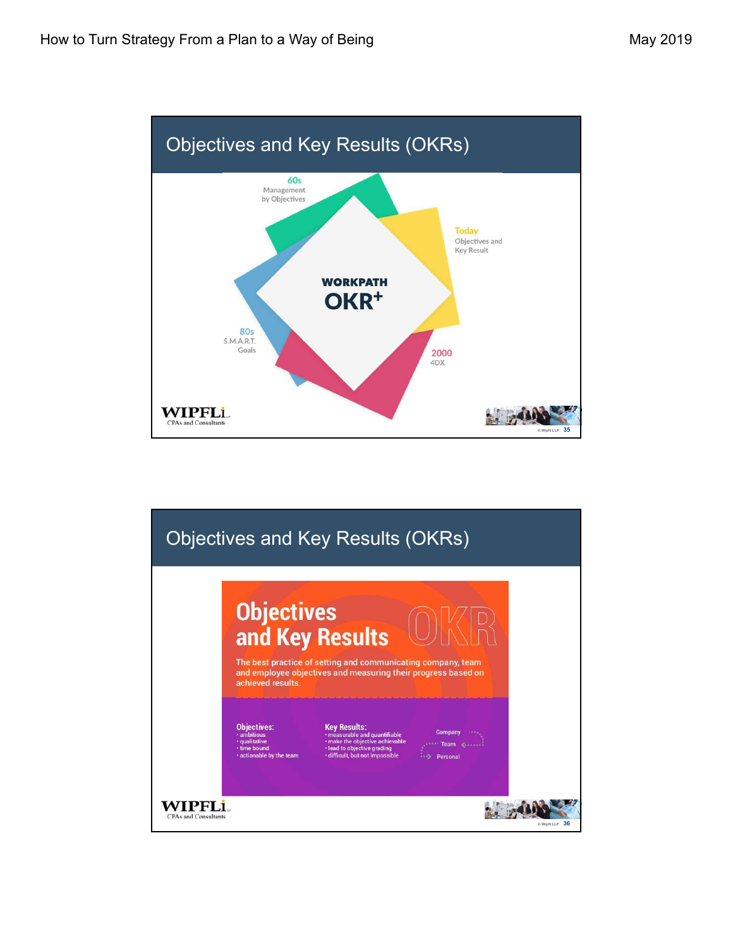

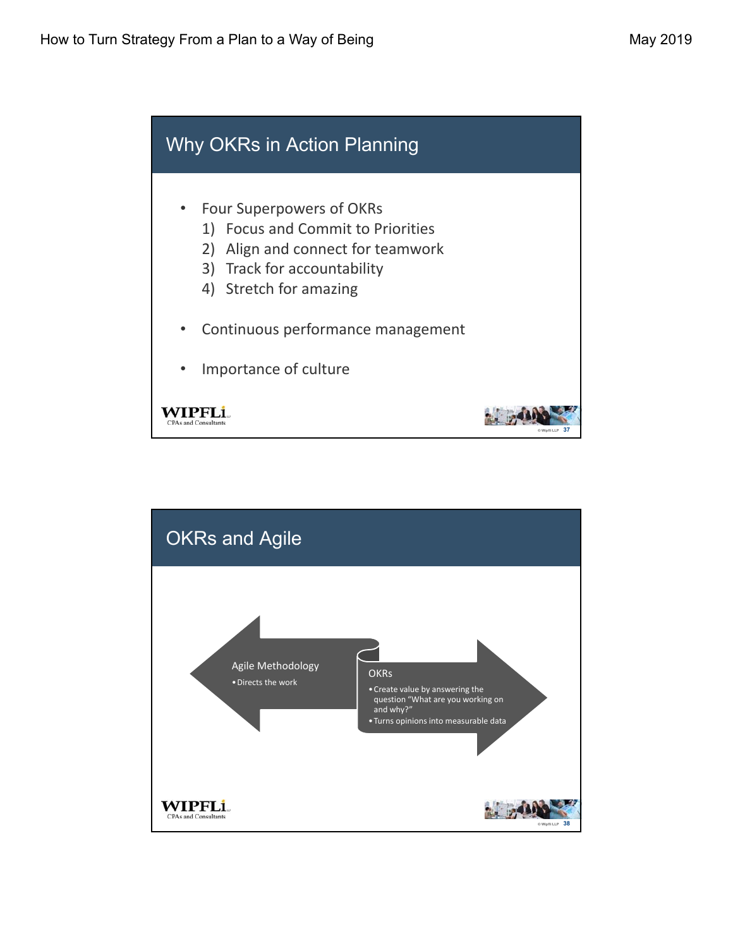

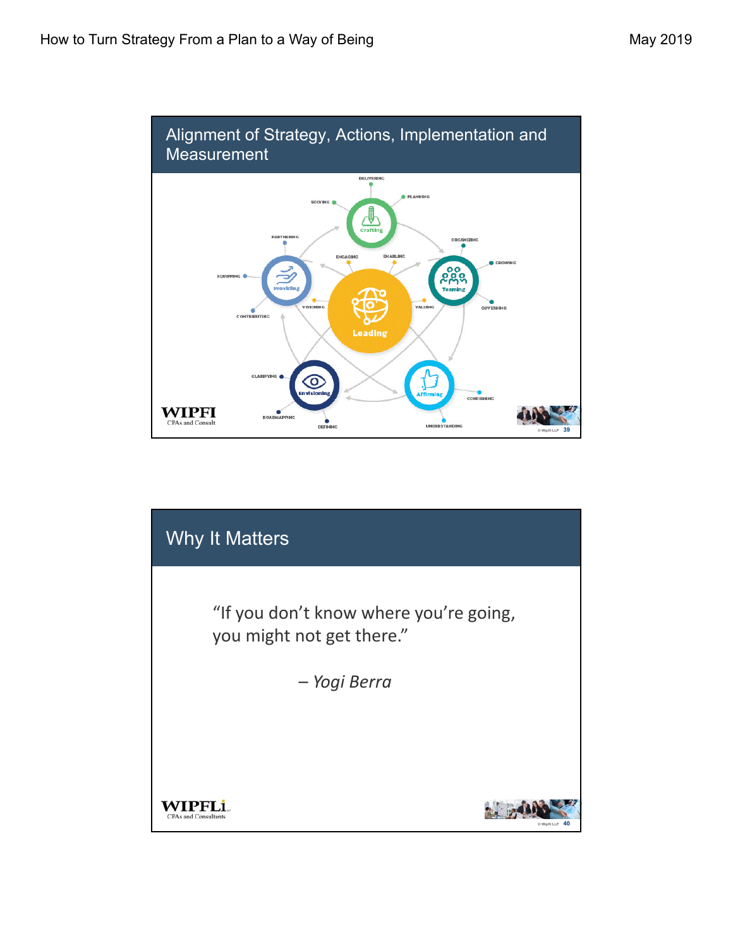